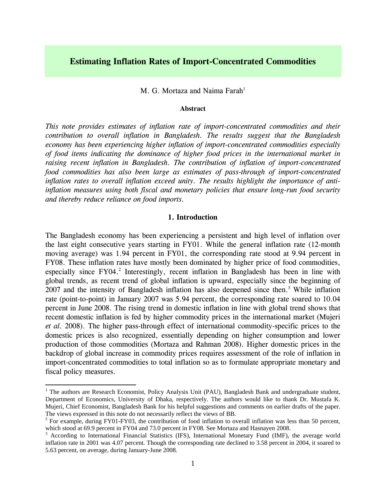# **Estimating Inflation Rates of Import-Concentrated Commodities**

M. G. Mortaza and Naima Farah<sup>[1](#page-0-0)</sup>

### **Abstract**

*This note provides estimates of inflation rate of import-concentrated commodities and their contribution to overall inflation in Bangladesh. The results suggest that the Bangladesh economy has been experiencing higher inflation of import-concentrated commodities especially of food items indicating the dominance of higher food prices in the international market in raising recent inflation in Bangladesh. The contribution of inflation of import-concentrated food commodities has also been large as estimates of pass-through of import-concentrated inflation rates to overall inflation exceed unity. The results highlight the importance of antiinflation measures using both fiscal and monetary policies that ensure long-run food security and thereby reduce reliance on food imports.* 

#### **1. Introduction**

The Bangladesh economy has been experiencing a persistent and high level of inflation over the last eight consecutive years starting in FY01. While the general inflation rate (12-month moving average) was 1.94 percent in FY01, the corresponding rate stood at 9.94 percent in FY08. These inflation rates have mostly been dominated by higher price of food commodities, especially since FY04.<sup>2</sup> Interestingly, recent inflation in Bangladesh has been in line with global trends, as recent trend of global inflation is upward, especially since the beginning of 2007 and the intensity of Bangladesh inflation has also deepened since then.<sup>[3](#page-0-2)</sup> While inflation rate (point-to-point) in January 2007 was 5.94 percent, the corresponding rate soared to 10.04 percent in June 2008. The rising trend in domestic inflation in line with global trend shows that recent domestic inflation is fed by higher commodity prices in the international market (Mujeri *et al.* 2008). The higher pass-through effect of international commodity-specific prices to the domestic prices is also recognized, essentially depending on higher consumption and lower production of those commodities (Mortaza and Rahman 2008). Higher domestic prices in the backdrop of global increase in commodity prices requires assessment of the role of inflation in import-concentrated commodities to total inflation so as to formulate appropriate monetary and fiscal policy measures.

1

<span id="page-0-0"></span><sup>&</sup>lt;sup>1</sup> The authors are Research Economist, Policy Analysis Unit (PAU), Bangladesh Bank and undergraduate student, Department of Economics, University of Dhaka, respectively. The authors would like to thank Dr. Mustafa K. Mujeri, Chief Economist, Bangladesh Bank for his helpful suggestions and comments on earlier drafts of the paper. The views expressed in this note do not necessarily reflect the views of BB. 2

<span id="page-0-1"></span> $2$  For example, during FY01-FY03, the contribution of food inflation to overall inflation was less than 50 percent, which stood at 69.9 percent in FY04 and 73.0 percent in FY08. See Mortaza and Hasnayen 2008.

<span id="page-0-2"></span><sup>&</sup>lt;sup>3</sup> According to International Financial Statistics (IFS), International Monetary Fund (IMF), the average world inflation rate in 2001 was 4.07 percent. Though the corresponding rate declined to 3.58 percent in 2004, it soared to 5.63 percent, on average, during January-June 2008.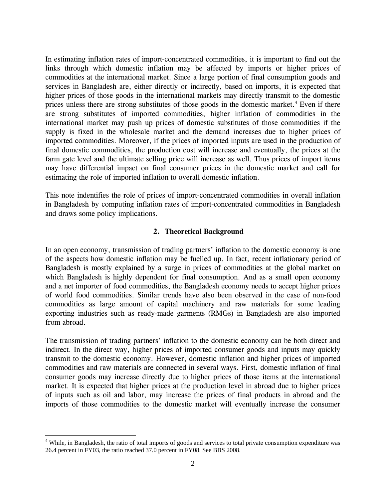In estimating inflation rates of import-concentrated commodities, it is important to find out the links through which domestic inflation may be affected by imports or higher prices of commodities at the international market. Since a large portion of final consumption goods and services in Bangladesh are, either directly or indirectly, based on imports, it is expected that higher prices of those goods in the international markets may directly transmit to the domestic prices unless there are strong substitutes of those goods in the domestic market.<sup>[4](#page-1-0)</sup> Even if there are strong substitutes of imported commodities, higher inflation of commodities in the international market may push up prices of domestic substitutes of those commodities if the supply is fixed in the wholesale market and the demand increases due to higher prices of imported commodities. Moreover, if the prices of imported inputs are used in the production of final domestic commodities, the production cost will increase and eventually, the prices at the farm gate level and the ultimate selling price will increase as well. Thus prices of import items may have differential impact on final consumer prices in the domestic market and call for estimating the role of imported inflation to overall domestic inflation.

This note indentifies the role of prices of import-concentrated commodities in overall inflation in Bangladesh by computing inflation rates of import-concentrated commodities in Bangladesh and draws some policy implications.

# **2. Theoretical Background**

In an open economy, transmission of trading partners' inflation to the domestic economy is one of the aspects how domestic inflation may be fuelled up. In fact, recent inflationary period of Bangladesh is mostly explained by a surge in prices of commodities at the global market on which Bangladesh is highly dependent for final consumption. And as a small open economy and a net importer of food commodities, the Bangladesh economy needs to accept higher prices of world food commodities. Similar trends have also been observed in the case of non-food commodities as large amount of capital machinery and raw materials for some leading exporting industries such as ready-made garments (RMGs) in Bangladesh are also imported from abroad.

The transmission of trading partners' inflation to the domestic economy can be both direct and indirect. In the direct way, higher prices of imported consumer goods and inputs may quickly transmit to the domestic economy. However, domestic inflation and higher prices of imported commodities and raw materials are connected in several ways. First, domestic inflation of final consumer goods may increase directly due to higher prices of those items at the international market. It is expected that higher prices at the production level in abroad due to higher prices of inputs such as oil and labor, may increase the prices of final products in abroad and the imports of those commodities to the domestic market will eventually increase the consumer

 $\overline{a}$ 

<span id="page-1-0"></span><sup>&</sup>lt;sup>4</sup> While, in Bangladesh, the ratio of total imports of goods and services to total private consumption expenditure was 26.4 percent in FY03, the ratio reached 37.0 percent in FY08. See BBS 2008.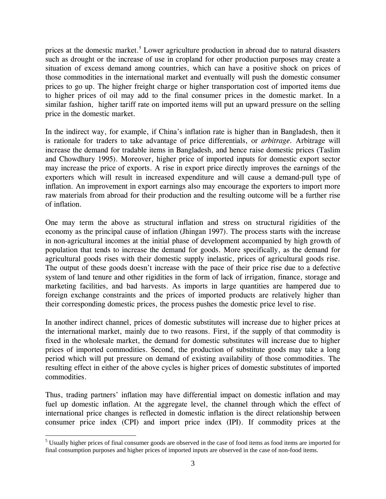prices at the domestic market.<sup>[5](#page-2-0)</sup> Lower agriculture production in abroad due to natural disasters such as drought or the increase of use in cropland for other production purposes may create a situation of excess demand among countries, which can have a positive shock on prices of those commodities in the international market and eventually will push the domestic consumer prices to go up. The higher freight charge or higher transportation cost of imported items due to higher prices of oil may add to the final consumer prices in the domestic market. In a similar fashion, higher tariff rate on imported items will put an upward pressure on the selling price in the domestic market.

In the indirect way, for example, if China's inflation rate is higher than in Bangladesh, then it is rationale for traders to take advantage of price differentials, or *arbitrage.* Arbitrage will increase the demand for tradable items in Bangladesh, and hence raise domestic prices (Taslim and Chowdhury 1995). Moreover, higher price of imported inputs for domestic export sector may increase the price of exports. A rise in export price directly improves the earnings of the exporters which will result in increased expenditure and will cause a demand-pull type of inflation. An improvement in export earnings also may encourage the exporters to import more raw materials from abroad for their production and the resulting outcome will be a further rise of inflation.

One may term the above as structural inflation and stress on structural rigidities of the economy as the principal cause of inflation (Jhingan 1997). The process starts with the increase in non-agricultural incomes at the initial phase of development accompanied by high growth of population that tends to increase the demand for goods. More specifically, as the demand for agricultural goods rises with their domestic supply inelastic, prices of agricultural goods rise. The output of these goods doesn't increase with the pace of their price rise due to a defective system of land tenure and other rigidities in the form of lack of irrigation, finance, storage and marketing facilities, and bad harvests. As imports in large quantities are hampered due to foreign exchange constraints and the prices of imported products are relatively higher than their corresponding domestic prices, the process pushes the domestic price level to rise.

In another indirect channel, prices of domestic substitutes will increase due to higher prices at the international market, mainly due to two reasons. First, if the supply of that commodity is fixed in the wholesale market, the demand for domestic substitutes will increase due to higher prices of imported commodities. Second, the production of substitute goods may take a long period which will put pressure on demand of existing availability of those commodities. The resulting effect in either of the above cycles is higher prices of domestic substitutes of imported commodities.

Thus, trading partners' inflation may have differential impact on domestic inflation and may fuel up domestic inflation. At the aggregate level, the channel through which the effect of international price changes is reflected in domestic inflation is the direct relationship between consumer price index (CPI) and import price index (IPI). If commodity prices at the

<span id="page-2-0"></span><sup>&</sup>lt;sup>5</sup><br><sup>5</sup> Usually higher prices of final consumer goods are observed in the case of food items as food items are imported for final consumption purposes and higher prices of imported inputs are observed in the case of non-food items.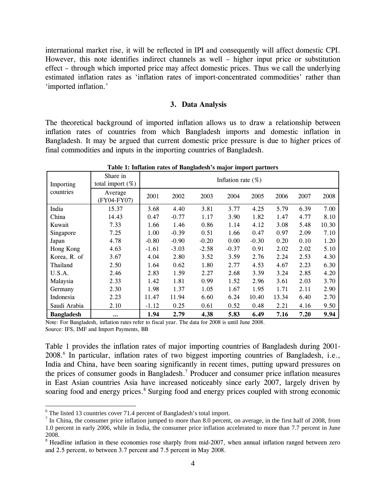international market rise, it will be reflected in IPI and consequently will affect domestic CPI. However, this note identifies indirect channels as well – higher input price or substitution effect – through which imported price may affect domestic prices. Thus we call the underlying estimated inflation rates as 'inflation rates of import-concentrated commodities' rather than 'imported inflation.'

#### **3. Data Analysis**

The theoretical background of imported inflation allows us to draw a relationship between inflation rates of countries from which Bangladesh imports and domestic inflation in Bangladesh. It may be argued that current domestic price pressure is due to higher prices of final commodities and inputs in the importing countries of Bangladesh.

| Importing<br>countries | Share in<br>total import $(\%)$ | Inflation rate $(\%)$ |         |         |         |         |       |      |       |
|------------------------|---------------------------------|-----------------------|---------|---------|---------|---------|-------|------|-------|
|                        | Average<br>(FY04-FY07)          | 2001                  | 2002    | 2003    | 2004    | 2005    | 2006  | 2007 | 2008  |
| India                  | 15.37                           | 3.68                  | 4.40    | 3.81    | 3.77    | 4.25    | 5.79  | 6.39 | 7.00  |
| China                  | 14.43                           | 0.47                  | $-0.77$ | 1.17    | 3.90    | 1.82    | 1.47  | 4.77 | 8.10  |
| Kuwait                 | 7.33                            | 1.66                  | 1.46    | 0.86    | 1.14    | 4.12    | 3.08  | 5.48 | 10.30 |
| Singapore              | 7.25                            | 1.00                  | $-0.39$ | 0.51    | 1.66    | 0.47    | 0.97  | 2.09 | 7.10  |
| Japan                  | 4.78                            | $-0.80$               | $-0.90$ | $-0.20$ | 0.00    | $-0.30$ | 0.20  | 0.10 | 1.20  |
| Hong Kong              | 4.63                            | $-1.61$               | $-3.03$ | $-2.58$ | $-0.37$ | 0.91    | 2.02  | 2.02 | 5.10  |
| Korea, R. of           | 3.67                            | 4.04                  | 2.80    | 3.52    | 3.59    | 2.76    | 2.24  | 2.53 | 4.30  |
| Thailand               | 2.50                            | 1.64                  | 0.62    | 1.80    | 2.77    | 4.53    | 4.67  | 2.23 | 6.30  |
| U.S.A.                 | 2.46                            | 2.83                  | 1.59    | 2.27    | 2.68    | 3.39    | 3.24  | 2.85 | 4.20  |
| Malaysia               | 2.33                            | 1.42                  | 1.81    | 0.99    | 1.52    | 2.96    | 3.61  | 2.03 | 3.70  |
| Germany                | 2.30                            | 1.98                  | 1.37    | 1.05    | 1.67    | 1.95    | 1.71  | 2.11 | 2.90  |
| Indonesia              | 2.23                            | 11.47                 | 11.94   | 6.60    | 6.24    | 10.40   | 13.34 | 6.40 | 2.70  |
| Saudi Arabia           | 2.10                            | $-1.12$               | 0.25    | 0.61    | 0.52    | 0.48    | 2.21  | 4.16 | 9.50  |
| <b>Bangladesh</b>      | $\cdots$                        | 1.94                  | 2.79    | 4.38    | 5.83    | 6.49    | 7.16  | 7.20 | 9.94  |

**Table 1: Inflation rates of Bangladesh's major import partners** 

Note: For Bangladesh, inflation rates refer to fiscal year. The data for 2008 is until June 2008. Source: IFS, IMF and Import Payments, BB

Table 1 provides the inflation rates of major importing countries of Bangladesh during 2001- 2008.<sup>[6](#page-3-0)</sup> In particular, inflation rates of two biggest importing countries of Bangladesh, i.e., India and China, have been soaring significantly in recent times, putting upward pressures on the prices of consumer goods in Bangladesh.<sup>[7](#page-3-1)</sup> Producer and consumer price inflation measures in East Asian countries Asia have increased noticeably since early 2007, largely driven by soaring food and energy prices.<sup>[8](#page-3-2)</sup> Surging food and energy prices coupled with strong economic

<span id="page-3-0"></span> $\frac{6}{7}$  The listed 13 countries cover 71.4 percent of Bangladesh's total import.

<span id="page-3-1"></span>In China, the consumer price inflation jumped to more than 8.0 percent, on average, in the first half of 2008, from 1.0 percent in early 2006, while in India, the consumer price inflation accelerated to more than 7.7 percent in June

<span id="page-3-2"></span><sup>2008. 8</sup> Headline inflation in these economies rose sharply from mid-2007, when annual inflation ranged between zero and 2.5 percent, to between 3.7 percent and 7.5 percent in May 2008.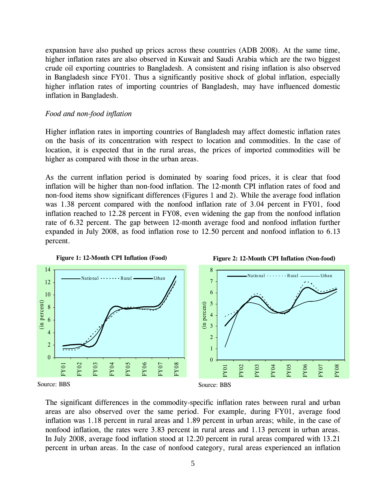expansion have also pushed up prices across these countries (ADB 2008). At the same time, higher inflation rates are also observed in Kuwait and Saudi Arabia which are the two biggest crude oil exporting countries to Bangladesh. A consistent and rising inflation is also observed in Bangladesh since FY01. Thus a significantly positive shock of global inflation, especially higher inflation rates of importing countries of Bangladesh, may have influenced domestic inflation in Bangladesh.

### *Food and non-food inflation*

Higher inflation rates in importing countries of Bangladesh may affect domestic inflation rates on the basis of its concentration with respect to location and commodities. In the case of location, it is expected that in the rural areas, the prices of imported commodities will be higher as compared with those in the urban areas.

As the current inflation period is dominated by soaring food prices, it is clear that food inflation will be higher than non-food inflation. The 12-month CPI inflation rates of food and non-food items show significant differences (Figures 1 and 2). While the average food inflation was 1.38 percent compared with the nonfood inflation rate of 3.04 percent in FY01, food inflation reached to 12.28 percent in FY08, even widening the gap from the nonfood inflation rate of 6.32 percent. The gap between 12-month average food and nonfood inflation further expanded in July 2008, as food inflation rose to 12.50 percent and nonfood inflation to 6.13 percent.



The significant differences in the commodity-specific inflation rates between rural and urban areas are also observed over the same period. For example, during FY01, average food inflation was 1.18 percent in rural areas and 1.89 percent in urban areas; while, in the case of nonfood inflation, the rates were 3.83 percent in rural areas and 1.13 percent in urban areas. In July 2008, average food inflation stood at 12.20 percent in rural areas compared with 13.21 percent in urban areas. In the case of nonfood category, rural areas experienced an inflation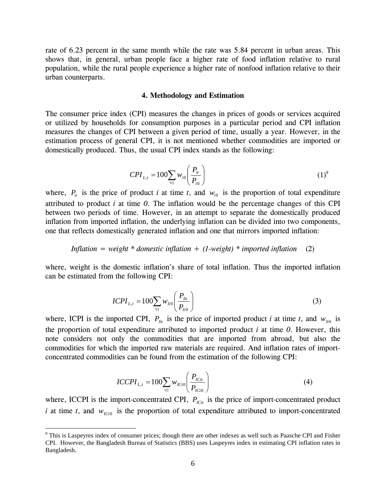rate of 6.23 percent in the same month while the rate was 5.84 percent in urban areas. This shows that, in general, urban people face a higher rate of food inflation relative to rural population, while the rural people experience a higher rate of nonfood inflation relative to their urban counterparts.

#### **4. Methodology and Estimation**

The consumer price index (CPI) measures the changes in prices of goods or services acquired or utilized by households for consumption purposes in a particular period and CPI inflation measures the changes of CPI between a given period of time, usually a year. However, in the estimation process of general CPI, it is not mentioned whether commodities are imported or domestically produced. Thus, the usual CPI index stands as the following:

$$
CPI_{L,t} = 100 \sum_{\forall i} w_{i0} \left( \frac{P_{it}}{P_{i0}} \right)
$$
 (1)<sup>9</sup>

where,  $P_{it}$  is the price of product *i* at time *t*, and  $W_{i0}$  is the proportion of total expenditure attributed to product *i* at time *0*. The inflation would be the percentage changes of this CPI between two periods of time. However, in an attempt to separate the domestically produced inflation from imported inflation, the underlying inflation can be divided into two components, one that reflects domestically generated inflation and one that mirrors imported inflation:

## *Inflation = weight \* domestic inflation + (1-weight) \* imported inflation* (2)

where, weight is the domestic inflation's share of total inflation. Thus the imported inflation can be estimated from the following CPI:

$$
ICPI_{L,t} = 100 \sum_{\forall i} w_{Ii0} \left( \frac{P_{Iit}}{P_{Ii0}} \right)
$$
 (3)

where, ICPI is the imported CPI,  $P_{I_{it}}$  is the price of imported product *i* at time *t*, and  $W_{I_{i0}}$  is the proportion of total expenditure attributed to imported product *i* at time *0*. However, this note considers not only the commodities that are imported from abroad, but also the commodities for which the imported raw materials are required. And inflation rates of importconcentrated commodities can be found from the estimation of the following CPI:

$$
ICCPI_{L,t} = 100 \sum_{\forall i} w_{ICi0} \left( \frac{P_{ICit}}{P_{ICi0}} \right)
$$
 (4)

where, ICCPI is the import-concentrated CPI,  $P_{\text{IC}i}$  is the price of import-concentrated product *i* at time *t*, and  $w_{ICi0}$  is the proportion of total expenditure attributed to import-concentrated

 $\overline{a}$ 

<sup>&</sup>lt;sup>9</sup> This is Laspeyres index of consumer prices; though there are other indexes as well such as Paasche CPI and Fisher CPI. However, the Bangladesh Bureau of Statistics (BBS) uses Laspeyres index in estimating CPI inflation rates in Bangladesh.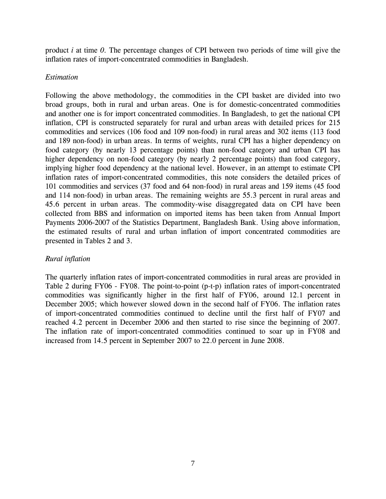product *i* at time *0*. The percentage changes of CPI between two periods of time will give the inflation rates of import-concentrated commodities in Bangladesh.

# *Estimation*

Following the above methodology, the commodities in the CPI basket are divided into two broad groups, both in rural and urban areas. One is for domestic-concentrated commodities and another one is for import concentrated commodities. In Bangladesh, to get the national CPI inflation, CPI is constructed separately for rural and urban areas with detailed prices for 215 commodities and services (106 food and 109 non-food) in rural areas and 302 items (113 food and 189 non-food) in urban areas. In terms of weights, rural CPI has a higher dependency on food category (by nearly 13 percentage points) than non-food category and urban CPI has higher dependency on non-food category (by nearly 2 percentage points) than food category, implying higher food dependency at the national level. However, in an attempt to estimate CPI inflation rates of import-concentrated commodities, this note considers the detailed prices of 101 commodities and services (37 food and 64 non-food) in rural areas and 159 items (45 food and 114 non-food) in urban areas. The remaining weights are 55.3 percent in rural areas and 45.6 percent in urban areas. The commodity-wise disaggregated data on CPI have been collected from BBS and information on imported items has been taken from Annual Import Payments 2006-2007 of the Statistics Department, Bangladesh Bank. Using above information, the estimated results of rural and urban inflation of import concentrated commodities are presented in Tables 2 and 3.

# *Rural inflation*

The quarterly inflation rates of import-concentrated commodities in rural areas are provided in Table 2 during FY06 - FY08. The point-to-point (p-t-p) inflation rates of import-concentrated commodities was significantly higher in the first half of FY06, around 12.1 percent in December 2005; which however slowed down in the second half of FY06. The inflation rates of import-concentrated commodities continued to decline until the first half of FY07 and reached 4.2 percent in December 2006 and then started to rise since the beginning of 2007. The inflation rate of import-concentrated commodities continued to soar up in FY08 and increased from 14.5 percent in September 2007 to 22.0 percent in June 2008.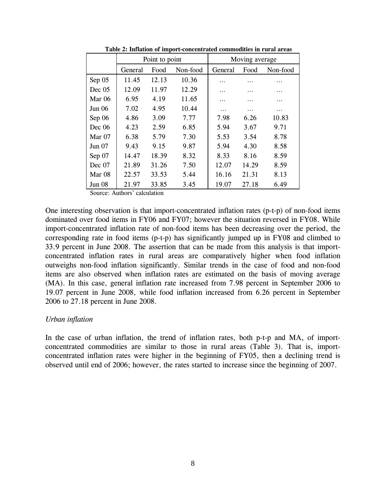|               | Point to point |       |          | Moving average |       |          |  |
|---------------|----------------|-------|----------|----------------|-------|----------|--|
|               | General        | Food  | Non-food | General        | Food  | Non-food |  |
| Sep 05        | 11.45          | 12.13 | 10.36    | .              | .     | .        |  |
| Dec~05        | 12.09          | 11.97 | 12.29    | .              |       | .        |  |
| Mar $06$      | 6.95           | 4.19  | 11.65    | .              | .     | .        |  |
| Jun 06        | 7.02           | 4.95  | 10.44    | .              | .     | .        |  |
| Sep 06        | 4.86           | 3.09  | 7.77     | 7.98           | 6.26  | 10.83    |  |
| Dec $06$      | 4.23           | 2.59  | 6.85     | 5.94           | 3.67  | 9.71     |  |
| Mar $07$      | 6.38           | 5.79  | 7.30     | 5.53           | 3.54  | 8.78     |  |
| Jun 07        | 9.43           | 9.15  | 9.87     | 5.94           | 4.30  | 8.58     |  |
| Sep 07        | 14.47          | 18.39 | 8.32     | 8.33           | 8.16  | 8.59     |  |
| Dec~07        | 21.89          | 31.26 | 7.50     | 12.07          | 14.29 | 8.59     |  |
| Mar 08        | 22.57          | 33.53 | 5.44     | 16.16          | 21.31 | 8.13     |  |
| <b>Jun 08</b> | 21.97          | 33.85 | 3.45     | 19.07          | 27.18 | 6.49     |  |

**Table 2: Inflation of import-concentrated commodities in rural areas** 

Source: Authors' calculation

One interesting observation is that import-concentrated inflation rates (p-t-p) of non-food items dominated over food items in FY06 and FY07; however the situation reversed in FY08. While import-concentrated inflation rate of non-food items has been decreasing over the period, the corresponding rate in food items (p-t-p) has significantly jumped up in FY08 and climbed to 33.9 percent in June 2008. The assertion that can be made from this analysis is that importconcentrated inflation rates in rural areas are comparatively higher when food inflation outweighs non-food inflation significantly. Similar trends in the case of food and non-food items are also observed when inflation rates are estimated on the basis of moving average (MA). In this case, general inflation rate increased from 7.98 percent in September 2006 to 19.07 percent in June 2008, while food inflation increased from 6.26 percent in September 2006 to 27.18 percent in June 2008.

### *Urban inflation*

In the case of urban inflation, the trend of inflation rates, both p-t-p and MA, of importconcentrated commodities are similar to those in rural areas (Table 3). That is, importconcentrated inflation rates were higher in the beginning of FY05, then a declining trend is observed until end of 2006; however, the rates started to increase since the beginning of 2007.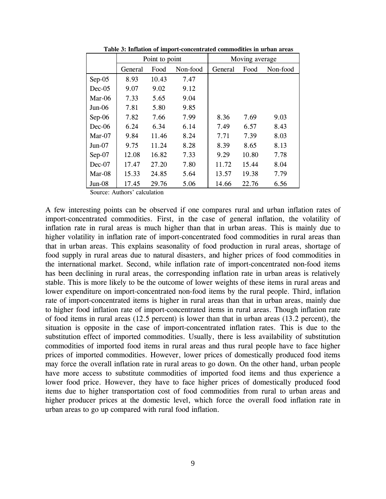|          | Point to point |       |          | Moving average |       |          |  |
|----------|----------------|-------|----------|----------------|-------|----------|--|
|          | General        | Food  | Non-food | General        | Food  | Non-food |  |
| $Sep-05$ | 8.93           | 10.43 | 7.47     |                |       |          |  |
| $Dec-05$ | 9.07           | 9.02  | 9.12     |                |       |          |  |
| $Mar-06$ | 7.33           | 5.65  | 9.04     |                |       |          |  |
| $Jun-06$ | 7.81           | 5.80  | 9.85     |                |       |          |  |
| $Sep-06$ | 7.82           | 7.66  | 7.99     | 8.36           | 7.69  | 9.03     |  |
| $Dec-06$ | 6.24           | 6.34  | 6.14     | 7.49           | 6.57  | 8.43     |  |
| $Mar-07$ | 9.84           | 11.46 | 8.24     | 7.71           | 7.39  | 8.03     |  |
| $Jun-07$ | 9.75           | 11.24 | 8.28     | 8.39           | 8.65  | 8.13     |  |
| Sep-07   | 12.08          | 16.82 | 7.33     | 9.29           | 10.80 | 7.78     |  |
| $Dec-07$ | 17.47          | 27.20 | 7.80     | 11.72          | 15.44 | 8.04     |  |
| $Mar-08$ | 15.33          | 24.85 | 5.64     | 13.57          | 19.38 | 7.79     |  |
| $Jun-08$ | 17.45          | 29.76 | 5.06     | 14.66          | 22.76 | 6.56     |  |

**Table 3: Inflation of import-concentrated commodities in urban areas** 

Source: Authors' calculation

A few interesting points can be observed if one compares rural and urban inflation rates of import-concentrated commodities. First, in the case of general inflation, the volatility of inflation rate in rural areas is much higher than that in urban areas. This is mainly due to higher volatility in inflation rate of import-concentrated food commodities in rural areas than that in urban areas. This explains seasonality of food production in rural areas, shortage of food supply in rural areas due to natural disasters, and higher prices of food commodities in the international market. Second, while inflation rate of import-concentrated non-food items has been declining in rural areas, the corresponding inflation rate in urban areas is relatively stable. This is more likely to be the outcome of lower weights of these items in rural areas and lower expenditure on import-concentrated non-food items by the rural people. Third, inflation rate of import-concentrated items is higher in rural areas than that in urban areas, mainly due to higher food inflation rate of import-concentrated items in rural areas. Though inflation rate of food items in rural areas (12.5 percent) is lower than that in urban areas (13.2 percent), the situation is opposite in the case of import-concentrated inflation rates. This is due to the substitution effect of imported commodities. Usually, there is less availability of substitution commodities of imported food items in rural areas and thus rural people have to face higher prices of imported commodities. However, lower prices of domestically produced food items may force the overall inflation rate in rural areas to go down. On the other hand, urban people have more access to substitute commodities of imported food items and thus experience a lower food price. However, they have to face higher prices of domestically produced food items due to higher transportation cost of food commodities from rural to urban areas and higher producer prices at the domestic level, which force the overall food inflation rate in urban areas to go up compared with rural food inflation.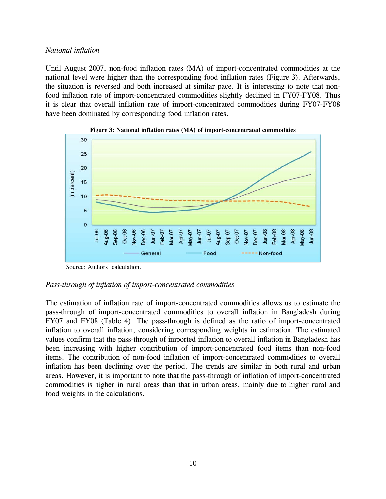# *National inflation*

Until August 2007, non-food inflation rates (MA) of import-concentrated commodities at the national level were higher than the corresponding food inflation rates (Figure 3). Afterwards, the situation is reversed and both increased at similar pace. It is interesting to note that nonfood inflation rate of import-concentrated commodities slightly declined in FY07-FY08. Thus it is clear that overall inflation rate of import-concentrated commodities during FY07-FY08 have been dominated by corresponding food inflation rates.





Source: Authors' calculation.

## *Pass-through of inflation of import-concentrated commodities*

The estimation of inflation rate of import-concentrated commodities allows us to estimate the pass-through of import-concentrated commodities to overall inflation in Bangladesh during FY07 and FY08 (Table 4). The pass-through is defined as the ratio of import-concentrated inflation to overall inflation, considering corresponding weights in estimation. The estimated values confirm that the pass-through of imported inflation to overall inflation in Bangladesh has been increasing with higher contribution of import-concentrated food items than non-food items. The contribution of non-food inflation of import-concentrated commodities to overall inflation has been declining over the period. The trends are similar in both rural and urban areas. However, it is important to note that the pass-through of inflation of import-concentrated commodities is higher in rural areas than that in urban areas, mainly due to higher rural and food weights in the calculations.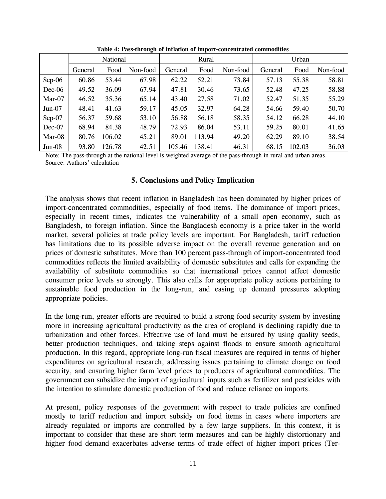|          | National |        |          | Rural   |        |          | Urban   |        |          |
|----------|----------|--------|----------|---------|--------|----------|---------|--------|----------|
|          | General  | Food   | Non-food | General | Food   | Non-food | General | Food   | Non-food |
| $Sep-06$ | 60.86    | 53.44  | 67.98    | 62.22   | 52.21  | 73.84    | 57.13   | 55.38  | 58.81    |
| $Dec-06$ | 49.52    | 36.09  | 67.94    | 47.81   | 30.46  | 73.65    | 52.48   | 47.25  | 58.88    |
| Mar-07   | 46.52    | 35.36  | 65.14    | 43.40   | 27.58  | 71.02    | 52.47   | 51.35  | 55.29    |
| $Jun-07$ | 48.41    | 41.63  | 59.17    | 45.05   | 32.97  | 64.28    | 54.66   | 59.40  | 50.70    |
| Sep-07   | 56.37    | 59.68  | 53.10    | 56.88   | 56.18  | 58.35    | 54.12   | 66.28  | 44.10    |
| Dec-07   | 68.94    | 84.38  | 48.79    | 72.93   | 86.04  | 53.11    | 59.25   | 80.01  | 41.65    |
| Mar-08   | 80.76    | 106.02 | 45.21    | 89.01   | 113.94 | 49.20    | 62.29   | 89.10  | 38.54    |
| $Jun-08$ | 93.80    | 126.78 | 42.51    | 105.46  | 138.41 | 46.31    | 68.15   | 102.03 | 36.03    |

**Table 4: Pass-through of inflation of import-concentrated commodities** 

Note: The pass-through at the national level is weighted average of the pass-through in rural and urban areas. Source: Authors' calculation

## **5. Conclusions and Policy Implication**

The analysis shows that recent inflation in Bangladesh has been dominated by higher prices of import-concentrated commodities, especially of food items. The dominance of import prices, especially in recent times, indicates the vulnerability of a small open economy, such as Bangladesh, to foreign inflation. Since the Bangladesh economy is a price taker in the world market, several policies at trade policy levels are important. For Bangladesh, tariff reduction has limitations due to its possible adverse impact on the overall revenue generation and on prices of domestic substitutes. More than 100 percent pass-through of import-concentrated food commodities reflects the limited availability of domestic substitutes and calls for expanding the availability of substitute commodities so that international prices cannot affect domestic consumer price levels so strongly. This also calls for appropriate policy actions pertaining to sustainable food production in the long-run, and easing up demand pressures adopting appropriate policies.

In the long-run, greater efforts are required to build a strong food security system by investing more in increasing agricultural productivity as the area of cropland is declining rapidly due to urbanization and other forces. Effective use of land must be ensured by using quality seeds, better production techniques, and taking steps against floods to ensure smooth agricultural production. In this regard, appropriate long-run fiscal measures are required in terms of higher expenditures on agricultural research, addressing issues pertaining to climate change on food security, and ensuring higher farm level prices to producers of agricultural commodities. The government can subsidize the import of agricultural inputs such as fertilizer and pesticides with the intention to stimulate domestic production of food and reduce reliance on imports.

At present, policy responses of the government with respect to trade policies are confined mostly to tariff reduction and import subsidy on food items in cases where importers are already regulated or imports are controlled by a few large suppliers. In this context, it is important to consider that these are short term measures and can be highly distortionary and higher food demand exacerbates adverse terms of trade effect of higher import prices (Ter-